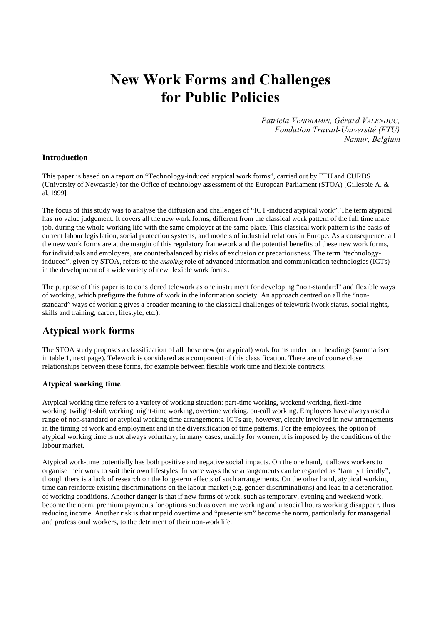# **New Work Forms and Challenges for Public Policies**

*Patricia VENDRAMIN, Gérard VALENDUC, Fondation Travail-Université (FTU) Namur, Belgium*

### **Introduction**

This paper is based on a report on "Technology-induced atypical work forms", carried out by FTU and CURDS (University of Newcastle) for the Office of technology assessment of the European Parliament (STOA) [Gillespie A. & al, 1999].

The focus of this study was to analyse the diffusion and challenges of "ICT-induced atypical work". The term atypical has no value judgement. It covers all the new work forms, different from the classical work pattern of the full time male job, during the whole working life with the same employer at the same place. This classical work pattern is the basis of current labour legislation, social protection systems, and models of industrial relations in Europe. As a consequence, all the new work forms are at the margin of this regulatory framework and the potential benefits of these new work forms, for individuals and employers, are counterbalanced by risks of exclusion or precariousness. The term "technologyinduced", given by STOA, refers to the *enabling* role of advanced information and communication technologies (ICTs) in the development of a wide variety of new flexible work forms.

The purpose of this paper is to considered telework as one instrument for developing "non-standard" and flexible ways of working, which prefigure the future of work in the information society. An approach centred on all the "nonstandard" ways of working gives a broader meaning to the classical challenges of telework (work status, social rights, skills and training, career, lifestyle, etc.).

## **Atypical work forms**

The STOA study proposes a classification of all these new (or atypical) work forms under four headings (summarised in table 1, next page). Telework is considered as a component of this classification. There are of course close relationships between these forms, for example between flexible work time and flexible contracts.

### **Atypical working time**

Atypical working time refers to a variety of working situation: part-time working, weekend working, flexi-time working, twilight-shift working, night-time working, overtime working, on-call working. Employers have always used a range of non-standard or atypical working time arrangements. ICTs are, however, clearly involved in new arrangements in the timing of work and employment and in the diversification of time patterns. For the employees, the option of atypical working time is not always voluntary; in many cases, mainly for women, it is imposed by the conditions of the labour market.

Atypical work-time potentially has both positive and negative social impacts. On the one hand, it allows workers to organise their work to suit their own lifestyles. In some ways these arrangements can be regarded as "family friendly", though there is a lack of research on the long-term effects of such arrangements. On the other hand, atypical working time can reinforce existing discriminations on the labour market (e.g. gender discriminations) and lead to a deterioration of working conditions. Another danger is that if new forms of work, such as temporary, evening and weekend work, become the norm, premium payments for options such as overtime working and unsocial hours working disappear, thus reducing income. Another risk is that unpaid overtime and "presenteism" become the norm, particularly for managerial and professional workers, to the detriment of their non-work life.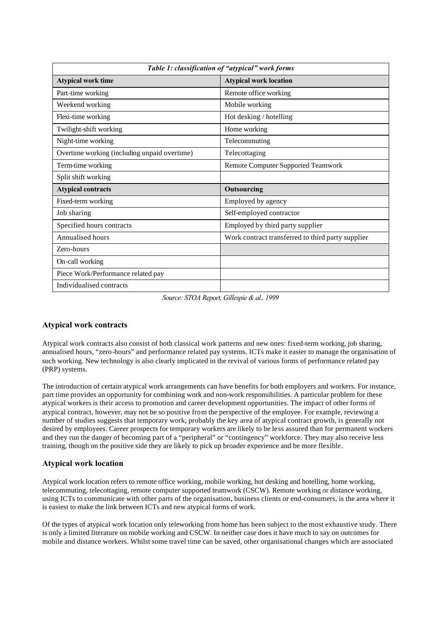| Table 1: classification of "atypical" work forms |                                                   |
|--------------------------------------------------|---------------------------------------------------|
| <b>Atypical work time</b>                        | <b>Atypical work location</b>                     |
| Part-time working                                | Remote office working                             |
| Weekend working                                  | Mobile working                                    |
| Flexi-time working                               | Hot desking / hotelling                           |
| Twilight-shift working                           | Home working                                      |
| Night-time working                               | Telecommuting                                     |
| Overtime working (including unpaid overtime)     | Telecottaging                                     |
| Term-time working                                | <b>Remote Computer Supported Teamwork</b>         |
| Split shift working                              |                                                   |
| <b>Atypical contracts</b>                        | Outsourcing                                       |
| Fixed-term working                               | Employed by agency                                |
| Job sharing                                      | Self-employed contractor                          |
| Specified hours contracts                        | Employed by third party supplier                  |
| Annualised hours                                 | Work contract transferred to third party supplier |
| Zero-hours                                       |                                                   |
| On-call working                                  |                                                   |
| Piece Work/Performance related pay               |                                                   |
| Individualised contracts                         |                                                   |

*Source: STOA Report, Gillespie & al., 1999*

### **Atypical work contracts**

Atypical work contracts also consist of both classical work patterns and new ones: fixed-term working, job sharing, annualised hours, "zero-hours" and performance related pay systems. ICTs make it easier to manage the organisation of such working. New technology is also clearly implicated in the revival of various forms of performance related pay (PRP) systems.

The introduction of certain atypical work arrangements can have benefits for both employers and workers. For instance, part time provides an opportunity for combining work and non-work responsibilities. A particular problem for these atypical workers is their access to promotion and career development opportunities. The impact of other forms of atypical contract, however, may not be so positive from the perspective of the employee. For example, reviewing a number of studies suggests that temporary work, probably the key area of atypical contract growth, is generally not desired by employees. Career prospects for temporary workers are likely to be less assured than for permanent workers and they run the danger of becoming part of a "peripheral" or "contingency" workforce. They may also receive less training, though on the positive side they are likely to pick up broader experience and be more flexible.

### **Atypical work location**

Atypical work location refers to remote office working, mobile working, hot desking and hotelling, home working, telecommuting, telecottaging, remote computer supported teamwork (CSCW). Remote working or distance working, using ICTs to communicate with other parts of the organisation, business clients or end-consumers, is the area where it is easiest to make the link between ICTs and new atypical forms of work.

Of the types of atypical work location only teleworking from home has been subject to the most exhaustive study. There is only a limited literature on mobile working and CSCW. In neither case does it have much to say on outcomes for mobile and distance workers. Whilst some travel time can be saved, other organisational changes which are associated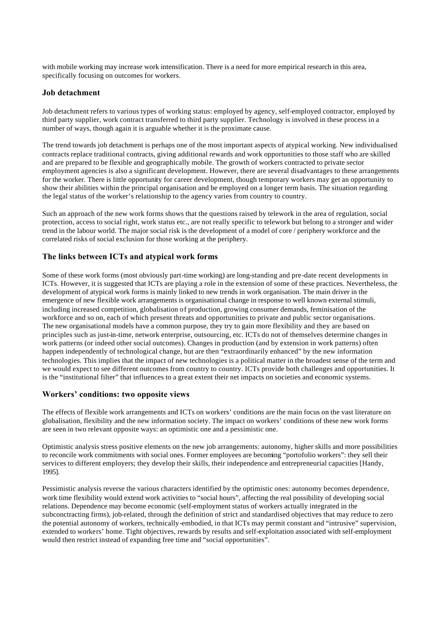with mobile working may increase work intensification. There is a need for more empirical research in this area, specifically focusing on outcomes for workers.

### **Job detachment**

Job detachment refers to various types of working status: employed by agency, self-employed contractor, employed by third party supplier, work contract transferred to third party supplier. Technology is involved in these process in a number of ways, though again it is arguable whether it is the proximate cause.

The trend towards job detachment is perhaps one of the most important aspects of atypical working. New individualised contracts replace traditional contracts, giving additional rewards and work opportunities to those staff who are skilled and are prepared to be flexible and geographically mobile. The growth of workers contracted to private sector employment agencies is also a significant development. However, there are several disadvantages to these arrangements for the worker. There is little opportunity for career development, though temporary workers may get an opportunity to show their abilities within the principal organisation and be employed on a longer term basis. The situation regarding the legal status of the worker's relationship to the agency varies from country to country.

Such an approach of the new work forms shows that the questions raised by telework in the area of regulation, social protection, access to social right, work status etc., are not really specific to telework but belong to a stronger and wider trend in the labour world. The major social risk is the development of a model of core / periphery workforce and the correlated risks of social exclusion for those working at the periphery.

### **The links between ICTs and atypical work forms**

Some of these work forms (most obviously part-time working) are long-standing and pre-date recent developments in ICTs. However, it is suggested that ICTs are playing a role in the extension of some of these practices. Nevertheless, the development of atypical work forms is mainly linked to new trends in work organisation. The main driver in the emergence of new flexible work arrangements is organisational change in response to well known external stimuli, including increased competition, globalisation of production, growing consumer demands, feminisation of the workforce and so on, each of which present threats and opportunities to private and public sector organisations. The new organisational models have a common purpose, they try to gain more flexibility and they are based on principles such as just-in-time, network enterprise, outsourcing, etc. ICTs do not of themselves determine changes in work patterns (or indeed other social outcomes). Changes in production (and by extension in work patterns) often happen independently of technological change, but are then "extraordinarily enhanced" by the new information technologies. This implies that the impact of new technologies is a political matter in the broadest sense of the term and we would expect to see different outcomes from country to country. ICTs provide both challenges and opportunities. It is the "institutional filter" that influences to a great extent their net impacts on societies and economic systems.

### **Workers' conditions: two opposite views**

The effects of flexible work arrangements and ICTs on workers' conditions are the main focus on the vast literature on globalisation, flexibility and the new information society. The impact on workers' conditions of these new work forms are seen in two relevant opposite ways: an optimistic one and a pessimistic one.

Optimistic analysis stress positive elements on the new job arrangements: autonomy, higher skills and more possibilities to reconcile work commitments with social ones. Former employees are becoming "portofolio workers": they sell their services to different employers; they develop their skills, their independence and entrepreneurial capacities [Handy, 1995].

Pessimistic analysis reverse the various characters identified by the optimistic ones: autonomy becomes dependence, work time flexibility would extend work activities to "social hours", affecting the real possibility of developing social relations. Dependence may become economic (self-employment status of workers actually integrated in the subconctracting firms), job-related, through the definition of strict and standardised objectives that may reduce to zero the potential autonomy of workers, technically-embodied, in that ICTs may permit constant and "intrusive" supervision, extended to workers' home. Tight objectives, rewards by results and self-exploitation associated with self-employment would then restrict instead of expanding free time and "social opportunities".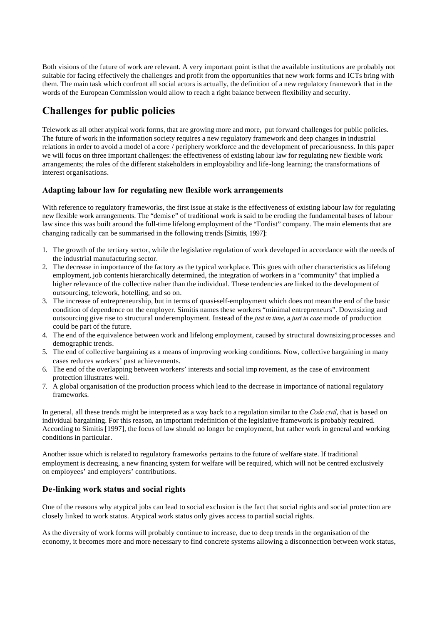Both visions of the future of work are relevant. A very important point is that the available institutions are probably not suitable for facing effectively the challenges and profit from the opportunities that new work forms and ICTs bring with them. The main task which confront all social actors is actually, the definition of a new regulatory framework that in the words of the European Commission would allow to reach a right balance between flexibility and security.

# **Challenges for public policies**

Telework as all other atypical work forms, that are growing more and more, put forward challenges for public policies. The future of work in the information society requires a new regulatory framework and deep changes in industrial relations in order to avoid a model of a core / periphery workforce and the development of precariousness. In this paper we will focus on three important challenges: the effectiveness of existing labour law for regulating new flexible work arrangements; the roles of the different stakeholders in employability and life-long learning; the transformations of interest organisations.

### **Adapting labour law for regulating new flexible work arrangements**

With reference to regulatory frameworks, the first issue at stake is the effectiveness of existing labour law for regulating new flexible work arrangements. The "demis e" of traditional work is said to be eroding the fundamental bases of labour law since this was built around the full-time lifelong employment of the "Fordist" company. The main elements that are changing radically can be summarised in the following trends [Simitis, 1997]:

- 1. The growth of the tertiary sector, while the legislative regulation of work developed in accordance with the needs of the industrial manufacturing sector.
- 2. The decrease in importance of the factory as the typical workplace. This goes with other characteristics as lifelong employment, job contents hierarchically determined, the integration of workers in a "community" that implied a higher relevance of the collective rather than the individual. These tendencies are linked to the development of outsourcing, telework, hotelling, and so on.
- 3. The increase of entrepreneurship, but in terms of quasi-self-employment which does not mean the end of the basic condition of dependence on the employer. Simitis names these workers "minimal entrepreneurs". Downsizing and outsourcing give rise to structural underemployment. Instead of the *just in time*, a *just in case* mode of production could be part of the future.
- 4. The end of the equivalence between work and lifelong employment, caused by structural downsizing processes and demographic trends.
- 5. The end of collective bargaining as a means of improving working conditions. Now, collective bargaining in many cases reduces workers' past achievements.
- 6. The end of the overlapping between workers' interests and social imp rovement, as the case of environment protection illustrates well.
- 7. A global organisation of the production process which lead to the decrease in importance of national regulatory frameworks.

In general, all these trends might be interpreted as a way back to a regulation similar to the *Code civil*, that is based on individual bargaining. For this reason, an important redefinition of the legislative framework is probably required. According to Simitis [1997], the focus of law should no longer be employment, but rather work in general and working conditions in particular.

Another issue which is related to regulatory frameworks pertains to the future of welfare state. If traditional employment is decreasing, a new financing system for welfare will be required, which will not be centred exclusively on employees' and employers' contributions.

### **De-linking work status and social rights**

One of the reasons why atypical jobs can lead to social exclusion is the fact that social rights and social protection are closely linked to work status. Atypical work status only gives access to partial social rights.

As the diversity of work forms will probably continue to increase, due to deep trends in the organisation of the economy, it becomes more and more necessary to find concrete systems allowing a disconnection between work status,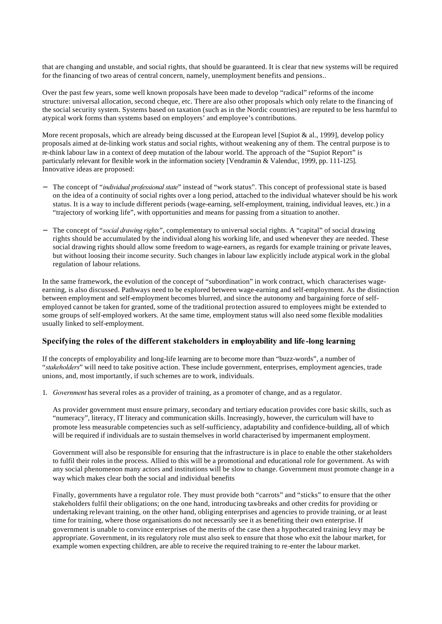that are changing and unstable, and social rights, that should be guaranteed. It is clear that new systems will be required for the financing of two areas of central concern, namely, unemployment benefits and pensions..

Over the past few years, some well known proposals have been made to develop "radical" reforms of the income structure: universal allocation, second cheque, etc. There are also other proposals which only relate to the financing of the social security system. Systems based on taxation (such as in the Nordic countries) are reputed to be less harmful to atypical work forms than systems based on employers' and employee's contributions.

More recent proposals, which are already being discussed at the European level [Supiot & al., 1999], develop policy proposals aimed at de-linking work status and social rights, without weakening any of them. The central purpose is to re-think labour law in a context of deep mutation of the labour world. The approach of the "Supiot Report" is particularly relevant for flexible work in the information society [Vendramin & Valenduc, 1999, pp. 111-125]. Innovative ideas are proposed:

- − The concept of "*individual professional state*" instead of "work status". This concept of professional state is based on the idea of a continuity of social rights over a long period, attached to the individual whatever should be his work status. It is a way to include different periods (wage-earning, self-employment, training, individual leaves, etc.) in a "trajectory of working life", with opportunities and means for passing from a situation to another.
- − The concept of "*social drawing rights*", complementary to universal social rights. A "capital" of social drawing rights should be accumulated by the individual along his working life, and used whenever they are needed. These social drawing rights should allow some freedom to wage-earners, as regards for example training or private leaves, but without loosing their income security. Such changes in labour law explicitly include atypical work in the global regulation of labour relations.

In the same framework, the evolution of the concept of "subordination" in work contract, which characterises wageearning, is also discussed. Pathways need to be explored between wage-earning and self-employment. As the distinction between employment and self-employment becomes blurred, and since the autonomy and bargaining force of selfemployed cannot be taken for granted, some of the traditional protection assured to employees might be extended to some groups of self-employed workers. At the same time, employment status will also need some flexible modalities usually linked to self-employment.

### **Specifying the roles of the different stakeholders in employability and life -long learning**

If the concepts of employability and long-life learning are to become more than "buzz-words", a number of "*stakeholders*" will need to take positive action. These include government, enterprises, employment agencies, trade unions, and, most importantly, if such schemes are to work, individuals.

1. *Government* has several roles as a provider of training, as a promoter of change, and as a regulator.

As provider government must ensure primary, secondary and tertiary education provides core basic skills, such as "numeracy", literacy, IT literacy and communication skills. Increasingly, however, the curriculum will have to promote less measurable competencies such as self-sufficiency, adaptability and confidence-building, all of which will be required if individuals are to sustain themselves in world characterised by impermanent employment.

Government will also be responsible for ensuring that the infrastructure is in place to enable the other stakeholders to fulfil their roles in the process. Allied to this will be a promotional and educational role for government. As with any social phenomenon many actors and institutions will be slow to change. Government must promote change in a way which makes clear both the social and individual benefits

Finally, governments have a regulator role. They must provide both "carrots" and "sticks" to ensure that the other stakeholders fulfil their obligations; on the one hand, introducing tax-breaks and other credits for providing or undertaking relevant training, on the other hand, obliging enterprises and agencies to provide training, or at least time for training, where those organisations do not necessarily see it as benefiting their own enterprise. If government is unable to convince enterprises of the merits of the case then a hypothecated training levy may be appropriate. Government, in its regulatory role must also seek to ensure that those who exit the labour market, for example women expecting children, are able to receive the required training to re-enter the labour market.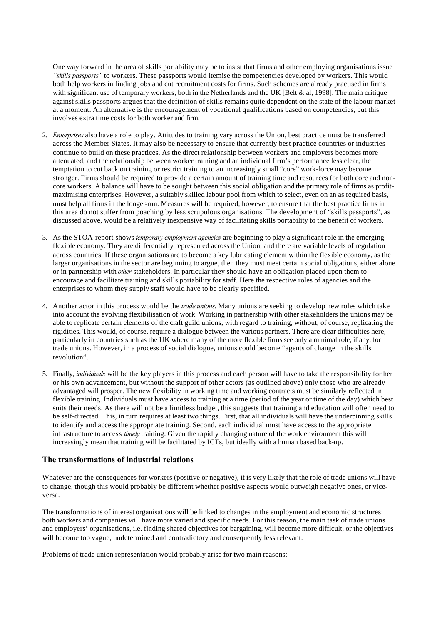One way forward in the area of skills portability may be to insist that firms and other employing organisations issue *"skills passports"* to workers. These passports would itemise the competencies developed by workers. This would both help workers in finding jobs and cut recruitment costs for firms. Such schemes are already practised in firms with significant use of temporary workers, both in the Netherlands and the UK [Belt & al, 1998]. The main critique against skills passports argues that the definition of skills remains quite dependent on the state of the labour market at a moment. An alternative is the encouragement of vocational qualifications based on competencies, but this involves extra time costs for both worker and firm.

- 2. *Enterprises* also have a role to play. Attitudes to training vary across the Union, best practice must be transferred across the Member States. It may also be necessary to ensure that currently best practice countries or industries continue to build on these practices. As the direct relationship between workers and employers becomes more attenuated, and the relationship between worker training and an individual firm's performance less clear, the temptation to cut back on training or restrict training to an increasingly small "core" work-force may become stronger. Firms should be required to provide a certain amount of training time and resources for both core and noncore workers. A balance will have to be sought between this social obligation and the primary role of firms as profitmaximising enterprises. However, a suitably skilled labour pool from which to select, even on an as required basis, must help all firms in the longer-run. Measures will be required, however, to ensure that the best practice firms in this area do not suffer from poaching by less scrupulous organisations. The development of "skills passports", as discussed above, would be a relatively inexpensive way of facilitating skills portability to the benefit of workers.
- 3. As the STOA report shows *temporary employment agencies* are beginning to play a significant role in the emerging flexible economy. They are differentially represented across the Union, and there are variable levels of regulation across countries. If these organisations are to become a key lubricating element within the flexible economy, as the larger organisations in the sector are beginning to argue, then they must meet certain social obligations, either alone or in partnership with *other* stakeholders. In particular they should have an obligation placed upon them to encourage and facilitate training and skills portability for staff. Here the respective roles of agencies and the enterprises to whom they supply staff would have to be clearly specified.
- 4. Another actor in this process would be the *trade unions*. Many unions are seeking to develop new roles which take into account the evolving flexibilisation of work. Working in partnership with other stakeholders the unions may be able to replicate certain elements of the craft guild unions, with regard to training, without, of course, replicating the rigidities. This would, of course, require a dialogue between the various partners. There are clear difficulties here, particularly in countries such as the UK where many of the more flexible firms see only a minimal role, if any, for trade unions. However, in a process of social dialogue, unions could become "agents of change in the skills revolution".
- 5. Finally, *individuals* will be the key players in this process and each person will have to take the responsibility for her or his own advancement, but without the support of other actors (as outlined above) only those who are already advantaged will prosper. The new flexibility in working time and working contracts must be similarly reflected in flexible training. Individuals must have access to training at a time (period of the year or time of the day) which best suits their needs. As there will not be a limitless budget, this suggests that training and education will often need to be self-directed. This, in turn requires at least two things. First, that all individuals will have the underpinning skills to identify and access the appropriate training. Second, each individual must have access to the appropriate infrastructure to access *timely* training. Given the rapidly changing nature of the work environment this will increasingly mean that training will be facilitated by ICTs, but ideally with a human based back-up.

### **The transformations of industrial relations**

Whatever are the consequences for workers (positive or negative), it is very likely that the role of trade unions will have to change, though this would probably be different whether positive aspects would outweigh negative ones, or viceversa.

The transformations of interest organisations will be linked to changes in the employment and economic structures: both workers and companies will have more varied and specific needs. For this reason, the main task of trade unions and employers' organisations, i.e. finding shared objectives for bargaining, will become more difficult, or the objectives will become too vague, undetermined and contradictory and consequently less relevant.

Problems of trade union representation would probably arise for two main reasons: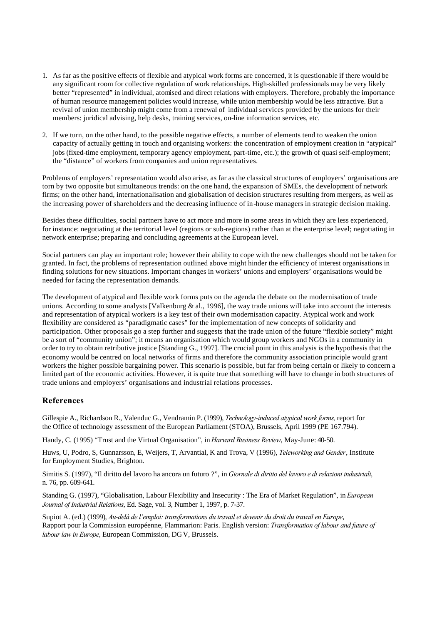- 1. As far as the positive effects of flexible and atypical work forms are concerned, it is questionable if there would be any significant room for collective regulation of work relationships. High-skilled professionals may be very likely better "represented" in individual, atomised and direct relations with employers. Therefore, probably the importance of human resource management policies would increase, while union membership would be less attractive. But a revival of union membership might come from a renewal of individual services provided by the unions for their members: juridical advising, help desks, training services, on-line information services, etc.
- 2. If we turn, on the other hand, to the possible negative effects, a number of elements tend to weaken the union capacity of actually getting in touch and organising workers: the concentration of employment creation in "atypical" jobs (fixed-time employment, temporary agency employment, part-time, etc.); the growth of quasi self-employment; the "distance" of workers from companies and union representatives.

Problems of employers' representation would also arise, as far as the classical structures of employers' organisations are torn by two opposite but simultaneous trends: on the one hand, the expansion of SMEs, the development of network firms; on the other hand, internationalisation and globalisation of decision structures resulting from mergers, as well as the increasing power of shareholders and the decreasing influence of in-house managers in strategic decision making.

Besides these difficulties, social partners have to act more and more in some areas in which they are less experienced, for instance: negotiating at the territorial level (regions or sub-regions) rather than at the enterprise level; negotiating in network enterprise; preparing and concluding agreements at the European level.

Social partners can play an important role; however their ability to cope with the new challenges should not be taken for granted. In fact, the problems of representation outlined above might hinder the efficiency of interest organisations in finding solutions for new situations. Important changes in workers' unions and employers' organisations would be needed for facing the representation demands.

The development of atypical and flexible work forms puts on the agenda the debate on the modernisation of trade unions. According to some analysts [Valkenburg  $\&$  al., 1996], the way trade unions will take into account the interests and representation of atypical workers is a key test of their own modernisation capacity. Atypical work and work flexibility are considered as "paradigmatic cases" for the implementation of new concepts of solidarity and participation. Other proposals go a step further and suggests that the trade union of the future "flexible society" might be a sort of "community union"; it means an organisation which would group workers and NGOs in a community in order to try to obtain retributive justice [Standing G., 1997]. The crucial point in this analysis is the hypothesis that the economy would be centred on local networks of firms and therefore the community association principle would grant workers the higher possible bargaining power. This scenario is possible, but far from being certain or likely to concern a limited part of the economic activities. However, it is quite true that something will have to change in both structures of trade unions and employers' organisations and industrial relations processes.

### **References**

Gillespie A., Richardson R., Valenduc G., Vendramin P. (1999), *Technology-induced atypical work forms,* report for the Office of technology assessment of the European Parliament (STOA), Brussels, April 1999 (PE 167.794).

Handy, C. (1995) "Trust and the Virtual Organisation", in *Harvard Business Review*, May-June: 40-50.

Huws, U, Podro, S, Gunnarsson, E, Weijers, T, Arvantial, K and Trova, V (1996), *Teleworking and Gender*, Institute for Employment Studies, Brighton.

Simitis S. (1997), "Il diritto del lavoro ha ancora un futuro ?", in *Giornale di diritto del lavoro e di relazioni industriali*, n. 76, pp. 609-641.

Standing G. (1997), "Globalisation, Labour Flexibility and Insecurity : The Era of Market Regulation", in *European Journal of Industrial Relations*, Ed. Sage, vol. 3, Number 1, 1997, p. 7-37.

Supiot A. (ed.) (1999), *Au-delà de l'emploi: transformations du travail et devenir du droit du travail en Europe*, Rapport pour la Commission européenne, Flammarion: Paris. English version: *Transformation of labour and future of labour law in Europe*, European Commission, DGV, Brussels.